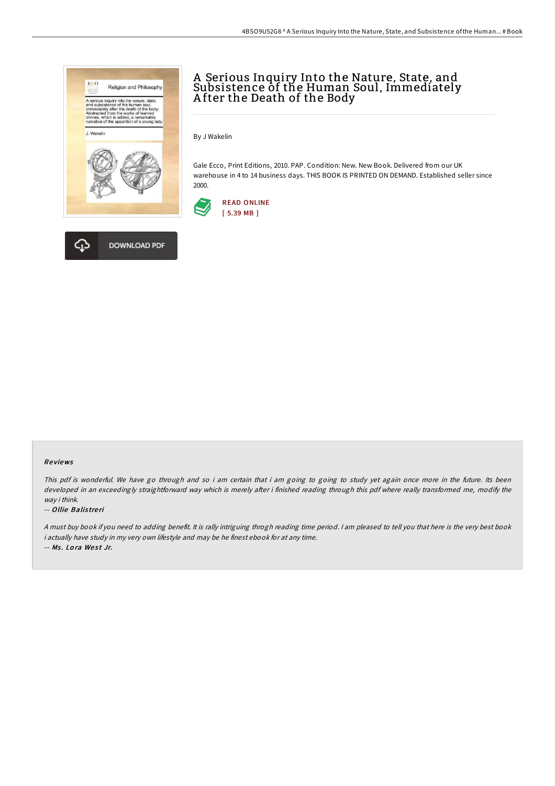



# A Serious Inquiry Into the Nature, State, and Subsistence of the Human Soul, Immediately A fter the Death of the Body

By J Wakelin

Gale Ecco, Print Editions, 2010. PAP. Condition: New. New Book. Delivered from our UK warehouse in 4 to 14 business days. THIS BOOK IS PRINTED ON DEMAND. Established seller since 2000.



#### Re views

This pdf is wonderful. We have go through and so i am certain that i am going to going to study yet again once more in the future. Its been developed in an exceedingly straightforward way which is merely after i finished reading through this pdf where really transformed me, modify the way i think.

#### -- Ollie Balis tre ri

<sup>A</sup> must buy book if you need to adding benefit. It is rally intriguing throgh reading time period. <sup>I</sup> am pleased to tell you that here is the very best book i actually have study in my very own lifestyle and may be he finest ebook for at any time. -- Ms. Lora West Jr.